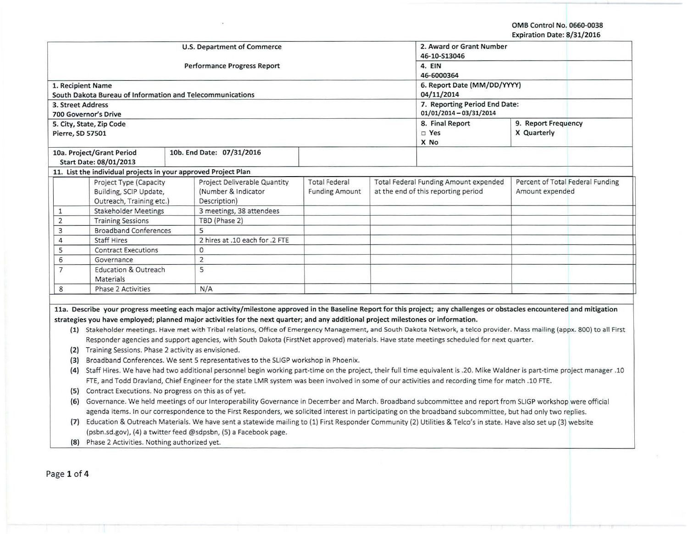OMB Control No. 0660-0038 Expiration Date: 8/31/2016

|                |                                                                                                                                                                                                                                                                                                                            |                                                                                                                                                                                |                             |                          |                                       | LADII ation Date: 0, 31, 2010    |  |  |
|----------------|----------------------------------------------------------------------------------------------------------------------------------------------------------------------------------------------------------------------------------------------------------------------------------------------------------------------------|--------------------------------------------------------------------------------------------------------------------------------------------------------------------------------|-----------------------------|--------------------------|---------------------------------------|----------------------------------|--|--|
|                |                                                                                                                                                                                                                                                                                                                            | U.S. Department of Commerce                                                                                                                                                    |                             | 2. Award or Grant Number |                                       |                                  |  |  |
|                |                                                                                                                                                                                                                                                                                                                            |                                                                                                                                                                                |                             | 46-10-S13046             |                                       |                                  |  |  |
|                |                                                                                                                                                                                                                                                                                                                            | Performance Progress Report                                                                                                                                                    | 4. EIN                      |                          |                                       |                                  |  |  |
|                |                                                                                                                                                                                                                                                                                                                            |                                                                                                                                                                                | 46-6000364                  |                          |                                       |                                  |  |  |
|                | 1. Recipient Name                                                                                                                                                                                                                                                                                                          |                                                                                                                                                                                | 6. Report Date (MM/DD/YYYY) |                          |                                       |                                  |  |  |
|                |                                                                                                                                                                                                                                                                                                                            | South Dakota Bureau of Information and Telecommunications                                                                                                                      |                             |                          | 04/11/2014                            |                                  |  |  |
|                | 3. Street Address                                                                                                                                                                                                                                                                                                          |                                                                                                                                                                                |                             |                          | 7. Reporting Period End Date:         |                                  |  |  |
|                | 700 Governor's Drive                                                                                                                                                                                                                                                                                                       |                                                                                                                                                                                |                             |                          | $01/01/2014 - 03/31/2014$             |                                  |  |  |
|                | 5. City, State, Zip Code                                                                                                                                                                                                                                                                                                   |                                                                                                                                                                                |                             |                          | 8. Final Report                       | 9. Report Frequency              |  |  |
|                | Pierre, SD 57501                                                                                                                                                                                                                                                                                                           |                                                                                                                                                                                |                             |                          | □ Yes                                 | X Quarterly                      |  |  |
|                |                                                                                                                                                                                                                                                                                                                            |                                                                                                                                                                                |                             |                          | X No                                  |                                  |  |  |
|                | 10a. Project/Grant Period                                                                                                                                                                                                                                                                                                  | 10b. End Date: 07/31/2016                                                                                                                                                      |                             |                          |                                       |                                  |  |  |
|                | Start Date: 08/01/2013                                                                                                                                                                                                                                                                                                     |                                                                                                                                                                                |                             |                          |                                       |                                  |  |  |
|                |                                                                                                                                                                                                                                                                                                                            | 11. List the individual projects in your approved Project Plan                                                                                                                 |                             |                          |                                       |                                  |  |  |
|                | Project Type (Capacity                                                                                                                                                                                                                                                                                                     | Project Deliverable Quantity                                                                                                                                                   | <b>Total Federal</b>        |                          | Total Federal Funding Amount expended | Percent of Total Federal Funding |  |  |
|                | Building, SCIP Update,                                                                                                                                                                                                                                                                                                     | (Number & Indicator                                                                                                                                                            | <b>Funding Amount</b>       |                          | at the end of this reporting period   | Amount expended                  |  |  |
|                | Outreach, Training etc.)                                                                                                                                                                                                                                                                                                   | Description)                                                                                                                                                                   |                             |                          |                                       |                                  |  |  |
| 1              | <b>Stakeholder Meetings</b>                                                                                                                                                                                                                                                                                                | 3 meetings, 38 attendees                                                                                                                                                       |                             |                          |                                       |                                  |  |  |
| $\overline{2}$ | <b>Training Sessions</b>                                                                                                                                                                                                                                                                                                   | TBD (Phase 2)                                                                                                                                                                  |                             |                          |                                       |                                  |  |  |
| 3              | <b>Broadband Conferences</b>                                                                                                                                                                                                                                                                                               | 5                                                                                                                                                                              |                             |                          |                                       |                                  |  |  |
| $\overline{4}$ | <b>Staff Hires</b>                                                                                                                                                                                                                                                                                                         | 2 hires at .10 each for .2 FTE                                                                                                                                                 |                             |                          |                                       |                                  |  |  |
| 5              | <b>Contract Executions</b>                                                                                                                                                                                                                                                                                                 | $\circ$                                                                                                                                                                        |                             |                          |                                       |                                  |  |  |
| 6              | Governance                                                                                                                                                                                                                                                                                                                 | $\overline{2}$                                                                                                                                                                 |                             |                          |                                       |                                  |  |  |
| $\overline{7}$ | <b>Education &amp; Outreach</b>                                                                                                                                                                                                                                                                                            | 5                                                                                                                                                                              |                             |                          |                                       |                                  |  |  |
|                | Materials                                                                                                                                                                                                                                                                                                                  |                                                                                                                                                                                |                             |                          |                                       |                                  |  |  |
| 8              | Phase 2 Activities                                                                                                                                                                                                                                                                                                         | N/A                                                                                                                                                                            |                             |                          |                                       |                                  |  |  |
|                |                                                                                                                                                                                                                                                                                                                            |                                                                                                                                                                                |                             |                          |                                       |                                  |  |  |
|                |                                                                                                                                                                                                                                                                                                                            | 11a. Describe your progress meeting each major activity/milestone approved in the Baseline Report for this project; any challenges or obstacles encountered and mitigation     |                             |                          |                                       |                                  |  |  |
|                |                                                                                                                                                                                                                                                                                                                            | strategies you have employed; planned major activities for the next quarter; and any additional project milestones or information.                                             |                             |                          |                                       |                                  |  |  |
|                |                                                                                                                                                                                                                                                                                                                            | (1) Stakeholder meetings. Have met with Tribal relations, Office of Emergency Management, and South Dakota Network, a telco provider. Mass mailing (appx. 800) to all First    |                             |                          |                                       |                                  |  |  |
|                |                                                                                                                                                                                                                                                                                                                            | Responder agencies and support agencies, with South Dakota (FirstNet approved) materials. Have state meetings scheduled for next quarter.                                      |                             |                          |                                       |                                  |  |  |
|                | (2) Training Sessions. Phase 2 activity as envisioned.                                                                                                                                                                                                                                                                     |                                                                                                                                                                                |                             |                          |                                       |                                  |  |  |
| (3)            |                                                                                                                                                                                                                                                                                                                            | Broadband Conferences. We sent 5 representatives to the SLIGP workshop in Phoenix.                                                                                             |                             |                          |                                       |                                  |  |  |
|                |                                                                                                                                                                                                                                                                                                                            | (4) Staff Hires. We have had two additional personnel begin working part-time on the project, their full time equivalent is .20. Mike Waldner is part-time project manager .10 |                             |                          |                                       |                                  |  |  |
|                |                                                                                                                                                                                                                                                                                                                            | FTE, and Todd Dravland, Chief Engineer for the state LMR system was been involved in some of our activities and recording time for match .10 FTE.                              |                             |                          |                                       |                                  |  |  |
| (5)            |                                                                                                                                                                                                                                                                                                                            | Contract Executions. No progress on this as of yet.                                                                                                                            |                             |                          |                                       |                                  |  |  |
| (6)            |                                                                                                                                                                                                                                                                                                                            |                                                                                                                                                                                |                             |                          |                                       |                                  |  |  |
|                | Governance. We held meetings of our Interoperability Governance in December and March. Broadband subcommittee and report from SLIGP workshop were official<br>agenda items. In our correspondence to the First Responders, we solicited interest in participating on the broadband subcommittee, but had only two replies. |                                                                                                                                                                                |                             |                          |                                       |                                  |  |  |
|                |                                                                                                                                                                                                                                                                                                                            |                                                                                                                                                                                |                             |                          |                                       |                                  |  |  |

(psbn.sd.gov), (4) a twitter feed @sdpsbn, (5) a Facebook page.

{8) Phase 2 Activities. Nothing authorized yet.

Page 1 of 4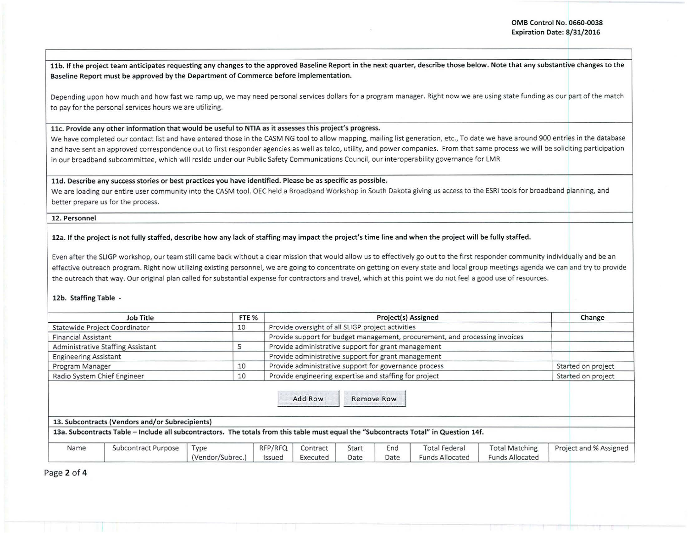I

I 11b. If the project team anticipates requesting any changes to the approved Baseline Report in the next quarter, describe those below. Note that any substantive changes to the Baseline Report must be approved by the Department of Commerce before implementation.

Depending upon how much and how fast we ramp up, we may need personal services dollars for a program manager. Right now we are using state funding as our part of the match to pay for the personal services hours we are utilizing.

## llc. Provide any other information that would be useful to NTIA as it assesses this project's progress.

We have completed our contact list and have entered those in the CASM NG tool to allow mapping, mailing list generation, etc., To date we have around 900 entries in the database and have sent an approved correspondence out to first responder agencies as well as telco, utility, and power companies. From that same process we will be soliciting participation in our broadband subcommittee, which will reside under our Public Safety Communications Council, our interoperability governance for LMR

#### lld. Describe any success stories or best practices you have identified. Please be as specific as possible.

We are loading our entire user community into the CASM tool. OEC held a Broadband Workshop in South Dakota giving us access to the ESRI tools for broadband planning, and better prepare us for the process.

### 12. Personnel

# 12a. If the project is not fully staffed, describe how any lack of staffing may impact the project's time line and when the project will be fully staffed.

Even after the SLIGP workshop, our team still came back without a clear mission that would allow us to effectively go out to the first responder community individua lly and be an effective outreach program. Right now utilizing existing personnel, we are going to concentrate on getting on every state and local group meetings agenda we can and try to provide the outreach that way. Our original plan called for substantial expense for contractors and travel, which at this point we do not feel a good use of resources.

## 12b. Staffing Table -

| FTE %<br><b>Job Title</b>           |                          |                                                      | Project(s) Assigned                                                         |               |             |                                                |                                                                                                                                                                        |                                                                                                                                       | Change                 |
|-------------------------------------|--------------------------|------------------------------------------------------|-----------------------------------------------------------------------------|---------------|-------------|------------------------------------------------|------------------------------------------------------------------------------------------------------------------------------------------------------------------------|---------------------------------------------------------------------------------------------------------------------------------------|------------------------|
| 10<br>Statewide Project Coordinator |                          |                                                      | Provide oversight of all SLIGP project activities                           |               |             |                                                |                                                                                                                                                                        |                                                                                                                                       |                        |
| <b>Financial Assistant</b>          |                          |                                                      | Provide support for budget management, procurement, and processing invoices |               |             |                                                |                                                                                                                                                                        |                                                                                                                                       |                        |
| Administrative Staffing Assistant   |                          |                                                      | Provide administrative support for grant management                         |               |             |                                                |                                                                                                                                                                        |                                                                                                                                       |                        |
| <b>Engineering Assistant</b>        |                          |                                                      |                                                                             |               |             |                                                |                                                                                                                                                                        |                                                                                                                                       |                        |
| Program Manager                     | 10                       |                                                      |                                                                             |               |             |                                                |                                                                                                                                                                        |                                                                                                                                       | Started on project     |
| Radio System Chief Engineer<br>10   |                          |                                                      |                                                                             |               |             |                                                |                                                                                                                                                                        | Started on project                                                                                                                    |                        |
|                                     |                          |                                                      |                                                                             |               |             |                                                |                                                                                                                                                                        |                                                                                                                                       |                        |
|                                     |                          |                                                      |                                                                             |               |             |                                                |                                                                                                                                                                        |                                                                                                                                       |                        |
|                                     |                          |                                                      |                                                                             |               |             |                                                |                                                                                                                                                                        |                                                                                                                                       |                        |
| Subcontract Purpose                 | Type<br>(Vendor/Subrec.) | RFP/RFQ<br>Issued                                    | Contract<br>Executed                                                        | Start<br>Date | End<br>Date | <b>Total Federal</b><br><b>Funds Allocated</b> | <b>Total Matching</b><br><b>Funds Allocated</b>                                                                                                                        |                                                                                                                                       | Project and % Assigned |
|                                     |                          | 5<br>13. Subcontracts (Vendors and/or Subrecipients) |                                                                             | Add Row       |             | Remove Row                                     | Provide administrative support for grant management<br>Provide administrative support for governance process<br>Provide engineering expertise and staffing for project | 13a. Subcontracts Table - Include all subcontractors. The totals from this table must equal the "Subcontracts Total" in Question 14f. |                        |

Page 2 of 4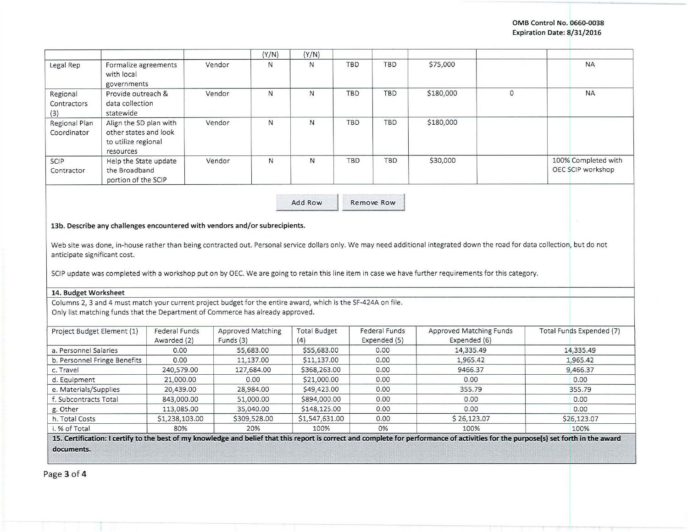|                                                                                                                                                                                                                                                                                                                                                                                   |                              |                           | (Y/N)        | (Y/N)                          |                          |                         |              |                                          |
|-----------------------------------------------------------------------------------------------------------------------------------------------------------------------------------------------------------------------------------------------------------------------------------------------------------------------------------------------------------------------------------|------------------------------|---------------------------|--------------|--------------------------------|--------------------------|-------------------------|--------------|------------------------------------------|
| Legal Rep<br>Formalize agreements<br>with local<br>governments                                                                                                                                                                                                                                                                                                                    |                              | Vendor                    | N            | $\mathsf{N}$                   | <b>TBD</b><br><b>TBD</b> | \$75,000                |              | <b>NA</b>                                |
| Regional<br>Provide outreach &<br>data collection<br>Contractors<br>statewide<br>(3)                                                                                                                                                                                                                                                                                              |                              | Vendor                    | N            | N                              | TBD<br><b>TBD</b>        | \$180,000               | $\mathbf{O}$ | <b>NA</b>                                |
| Align the SD plan with<br>Regional Plan<br>Coordinator<br>other states and look<br>to utilize regional<br>resources                                                                                                                                                                                                                                                               |                              | Vendor                    | N            | N                              | TBD<br><b>TBD</b>        | \$180,000               |              |                                          |
| SCIP<br>Help the State update<br>the Broadband<br>Contractor<br>portion of the SCIP                                                                                                                                                                                                                                                                                               |                              | Vendor                    | $\mathsf{N}$ | N                              | <b>TBD</b><br><b>TBD</b> | \$30,000                |              | 100% Completed with<br>OEC SCIP workshop |
|                                                                                                                                                                                                                                                                                                                                                                                   |                              |                           |              | Add Row                        | Remove Row               |                         |              |                                          |
| 13b. Describe any challenges encountered with vendors and/or subrecipients.<br>Web site was done, in-house rather than being contracted out. Personal service dollars only. We may need additional integrated down the road for data collection, but do not<br>anticipate significant cost.                                                                                       |                              |                           |              |                                |                          |                         |              |                                          |
| SCIP update was completed with a workshop put on by OEC. We are going to retain this line item in case we have further requirements for this category.<br>14. Budget Worksheet<br>Columns 2, 3 and 4 must match your current project budget for the entire award, which is the SF-424A on file.<br>Only list matching funds that the Department of Commerce has already approved. |                              |                           |              |                                |                          |                         |              |                                          |
| Project Budget Element (1)                                                                                                                                                                                                                                                                                                                                                        | <b>Federal Funds</b>         | <b>Approved Matching</b>  |              | <b>Total Budget</b>            | <b>Federal Funds</b>     | Approved Matching Funds |              | Total Funds Expended (7)                 |
|                                                                                                                                                                                                                                                                                                                                                                                   | Awarded (2)                  | Funds (3)                 |              | (4)                            | Expended (5)             | Expended (6)            |              |                                          |
|                                                                                                                                                                                                                                                                                                                                                                                   | 0.00                         | 55,683.00                 |              | \$55,683.00                    | 0.00                     | 14,335.49               |              | 14,335.49                                |
|                                                                                                                                                                                                                                                                                                                                                                                   | 0.00                         | 11,137.00                 |              | \$11,137.00                    | 0.00                     | 1,965.42                |              | 1,965.42                                 |
|                                                                                                                                                                                                                                                                                                                                                                                   | 240,579.00                   | 127,684.00                |              | \$368,263.00                   | 0.00                     | 9466.37                 |              | 9,466.37                                 |
|                                                                                                                                                                                                                                                                                                                                                                                   | 21,000.00                    | 0.00                      |              | \$21,000.00                    | 0.00                     | 0.00                    |              | 0.00                                     |
|                                                                                                                                                                                                                                                                                                                                                                                   | 20,439.00                    | 28,984.00                 |              | \$49,423.00                    | 0.00                     | 355.79                  |              | 355.79                                   |
|                                                                                                                                                                                                                                                                                                                                                                                   | 843,000.00                   | 51,000.00                 |              | \$894,000.00                   | 0.00                     | 0.00                    |              | 0.00                                     |
| a. Personnel Salaries<br>b. Personnel Fringe Benefits<br>c. Travel<br>d. Equipment<br>e. Materials/Supplies<br>f. Subcontracts Total<br>g. Other<br>h. Total Costs                                                                                                                                                                                                                | 113,085.00<br>\$1,238,103.00 | 35,040.00<br>\$309,528.00 |              | \$148,125.00<br>\$1,547,631.00 | 0.00<br>0.00             | 0.00<br>\$26,123.07     |              | 0.00<br>\$26,123.07                      |

Page 3 of **4**